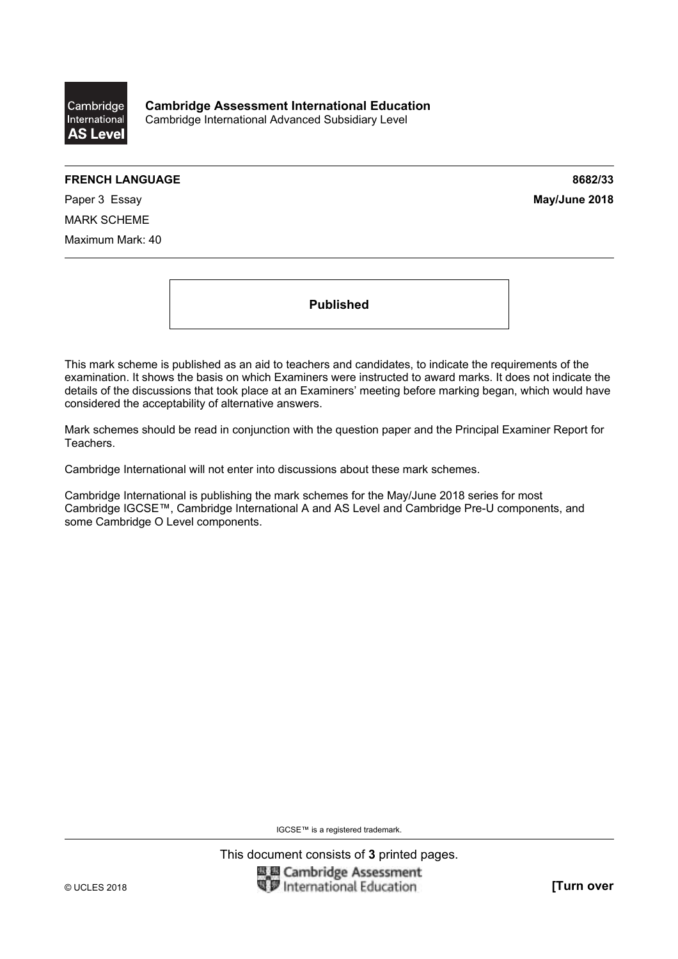

## **FRENCH LANGUAGE 8682/33**

Paper 3 Essay **May/June 2018** MARK SCHEME Maximum Mark: 40

**Published** 

This mark scheme is published as an aid to teachers and candidates, to indicate the requirements of the examination. It shows the basis on which Examiners were instructed to award marks. It does not indicate the details of the discussions that took place at an Examiners' meeting before marking began, which would have considered the acceptability of alternative answers.

Mark schemes should be read in conjunction with the question paper and the Principal Examiner Report for Teachers.

Cambridge International will not enter into discussions about these mark schemes.

Cambridge International is publishing the mark schemes for the May/June 2018 series for most Cambridge IGCSE™, Cambridge International A and AS Level and Cambridge Pre-U components, and some Cambridge O Level components.

IGCSE™ is a registered trademark.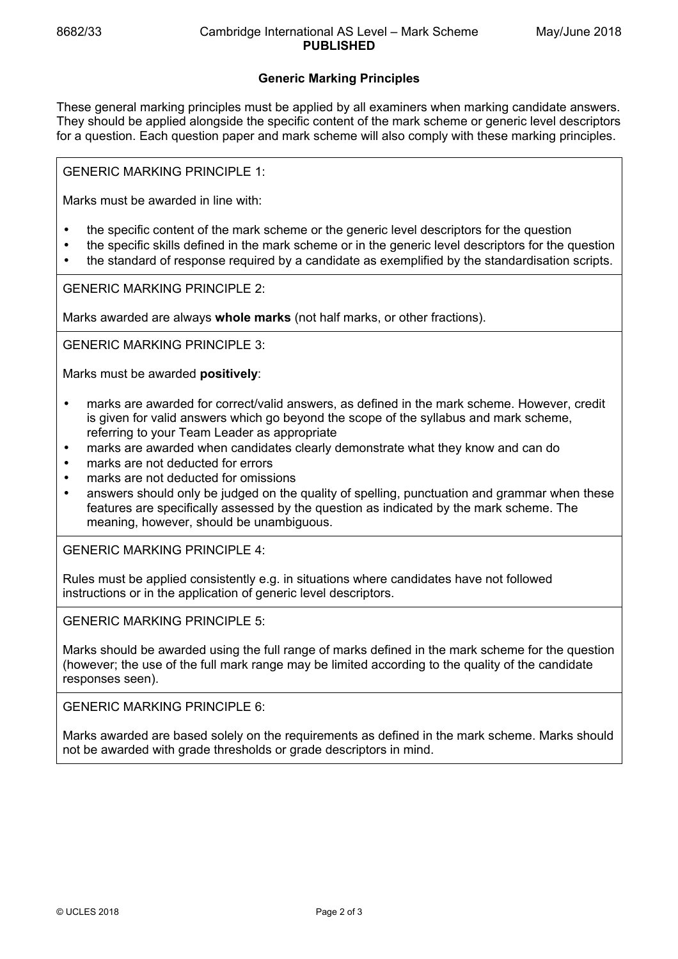## **Generic Marking Principles**

These general marking principles must be applied by all examiners when marking candidate answers. They should be applied alongside the specific content of the mark scheme or generic level descriptors for a question. Each question paper and mark scheme will also comply with these marking principles.

GENERIC MARKING PRINCIPLE 1:

Marks must be awarded in line with:

- the specific content of the mark scheme or the generic level descriptors for the question
- the specific skills defined in the mark scheme or in the generic level descriptors for the question
- the standard of response required by a candidate as exemplified by the standardisation scripts.

GENERIC MARKING PRINCIPLE 2:

Marks awarded are always **whole marks** (not half marks, or other fractions).

GENERIC MARKING PRINCIPLE 3:

Marks must be awarded **positively**:

- marks are awarded for correct/valid answers, as defined in the mark scheme. However, credit is given for valid answers which go beyond the scope of the syllabus and mark scheme, referring to your Team Leader as appropriate
- marks are awarded when candidates clearly demonstrate what they know and can do
- marks are not deducted for errors
- marks are not deducted for omissions
- answers should only be judged on the quality of spelling, punctuation and grammar when these features are specifically assessed by the question as indicated by the mark scheme. The meaning, however, should be unambiguous.

GENERIC MARKING PRINCIPLE 4:

Rules must be applied consistently e.g. in situations where candidates have not followed instructions or in the application of generic level descriptors.

GENERIC MARKING PRINCIPLE 5:

Marks should be awarded using the full range of marks defined in the mark scheme for the question (however; the use of the full mark range may be limited according to the quality of the candidate responses seen).

GENERIC MARKING PRINCIPLE 6:

Marks awarded are based solely on the requirements as defined in the mark scheme. Marks should not be awarded with grade thresholds or grade descriptors in mind.